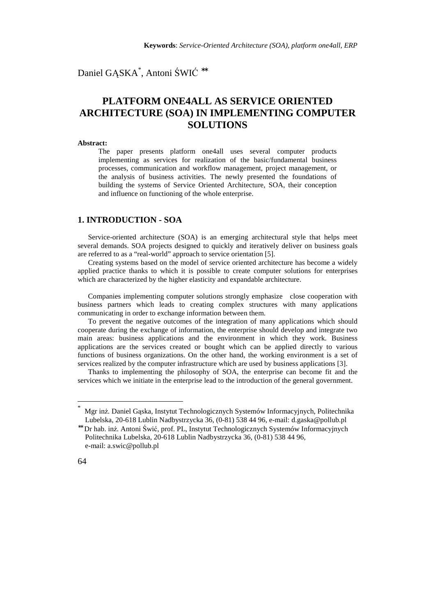Daniel GĄSKA\* , Antoni ŚWIĆ ∗∗

# **PLATFORM ONE4ALL AS SERVICE ORIENTED ARCHITECTURE (SOA) IN IMPLEMENTING COMPUTER SOLUTIONS**

#### **Abstract:**

The paper presents platform one4all uses several computer products implementing as services for realization of the basic/fundamental business processes, communication and workflow management, project management, or the analysis of business activities. The newly presented the foundations of building the systems of Service Oriented Architecture, SOA, their conception and influence on functioning of the whole enterprise.

# **1. INTRODUCTION - SOA**

Service-oriented architecture (SOA) is an emerging architectural style that helps meet several demands. SOA projects designed to quickly and iteratively deliver on business goals are referred to as a "real-world" approach to service orientation [5].

Creating systems based on the model of service oriented architecture has become a widely applied practice thanks to which it is possible to create computer solutions for enterprises which are characterized by the higher elasticity and expandable architecture.

Companies implementing computer solutions strongly emphasize close cooperation with business partners which leads to creating complex structures with many applications communicating in order to exchange information between them.

To prevent the negative outcomes of the integration of many applications which should cooperate during the exchange of information, the enterprise should develop and integrate two main areas: business applications and the environment in which they work. Business applications are the services created or bought which can be applied directly to various functions of business organizations. On the other hand, the working environment is a set of services realized by the computer infrastructure which are used by business applications [3].

Thanks to implementing the philosophy of SOA, the enterprise can become fit and the services which we initiate in the enterprise lead to the introduction of the general government.

 $\overline{a}$ 

<sup>\*</sup> Mgr inż. Daniel Gąska, Instytut Technologicznych Systemów Informacyjnych, Politechnika Lubelska, 20-618 Lublin Nadbystrzycka 36, (0-81) 538 44 96, e-mail: d.gaska@pollub.pl

<sup>∗∗</sup> Dr hab. inż. Antoni Świć, prof. PL, Instytut Technologicznych Systemów Informacyjnych Politechnika Lubelska, 20-618 Lublin Nadbystrzycka 36, (0-81) 538 44 96, e-mail: a.swic@pollub.pl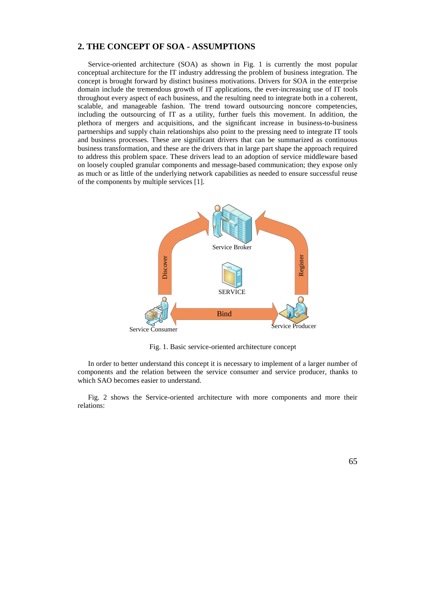## **2. THE CONCEPT OF SOA - ASSUMPTIONS**

Service-oriented architecture (SOA) as shown in Fig. 1 is currently the most popular conceptual architecture for the IT industry addressing the problem of business integration. The concept is brought forward by distinct business motivations. Drivers for SOA in the enterprise domain include the tremendous growth of IT applications, the ever-increasing use of IT tools throughout every aspect of each business, and the resulting need to integrate both in a coherent, scalable, and manageable fashion. The trend toward outsourcing noncore competencies, including the outsourcing of IT as a utility, further fuels this movement. In addition, the plethora of mergers and acquisitions, and the significant increase in business-to-business partnerships and supply chain relationships also point to the pressing need to integrate IT tools and business processes. These are significant drivers that can be summarized as continuous business transformation, and these are the drivers that in large part shape the approach required to address this problem space. These drivers lead to an adoption of service middleware based on loosely coupled granular components and message-based communication; they expose only as much or as little of the underlying network capabilities as needed to ensure successful reuse of the components by multiple services [1].



Fig. 1. Basic service-oriented architecture concept

In order to better understand this concept it is necessary to implement of a larger number of components and the relation between the service consumer and service producer, thanks to which SAO becomes easier to understand.

Fig. 2 shows the Service-oriented architecture with more components and more their relations: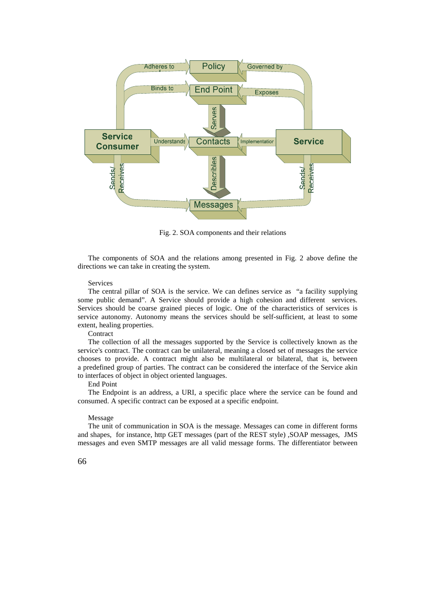

Fig. 2. SOA components and their relations

The components of SOA and the relations among presented in Fig. 2 above define the directions we can take in creating the system.

### Services

The central pillar of SOA is the service. We can defines service as "a facility supplying some public demand". A Service should provide a high cohesion and different services. Services should be coarse grained pieces of logic. One of the characteristics of services is service autonomy. Autonomy means the services should be self-sufficient, at least to some extent, healing properties.

#### **Contract**

The collection of all the messages supported by the Service is collectively known as the service's contract. The contract can be unilateral, meaning a closed set of messages the service chooses to provide. A contract might also be multilateral or bilateral, that is, between a predefined group of parties. The contract can be considered the interface of the Service akin to interfaces of object in object oriented languages.

#### End Point

The Endpoint is an address, a URI, a specific place where the service can be found and consumed. A specific contract can be exposed at a specific endpoint.

#### Message

The unit of communication in SOA is the message. Messages can come in different forms and shapes, for instance, http GET messages (part of the REST style) ,SOAP messages, JMS messages and even SMTP messages are all valid message forms. The differentiator between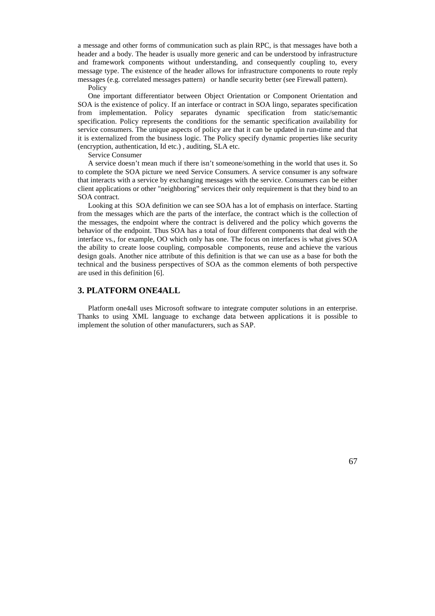a message and other forms of communication such as plain RPC, is that messages have both a header and a body. The header is usually more generic and can be understood by infrastructure and framework components without understanding, and consequently coupling to, every message type. The existence of the header allows for infrastructure components to route reply messages (e.g. correlated messages pattern) or handle security better (see Firewall pattern).

Policy

One important differentiator between Object Orientation or Component Orientation and SOA is the existence of policy. If an interface or contract in SOA lingo, separates specification from implementation. Policy separates dynamic specification from static/semantic specification. Policy represents the conditions for the semantic specification availability for service consumers. The unique aspects of policy are that it can be updated in run-time and that it is externalized from the business logic. The Policy specify dynamic properties like security (encryption, authentication, Id etc.) , auditing, SLA etc.

#### Service Consumer

A service doesn't mean much if there isn't someone/something in the world that uses it. So to complete the SOA picture we need Service Consumers. A service consumer is any software that interacts with a service by exchanging messages with the service. Consumers can be either client applications or other "neighboring" services their only requirement is that they bind to an SOA contract.

Looking at this SOA definition we can see SOA has a lot of emphasis on interface. Starting from the messages which are the parts of the interface, the contract which is the collection of the messages, the endpoint where the contract is delivered and the policy which governs the behavior of the endpoint. Thus SOA has a total of four different components that deal with the interface vs., for example, OO which only has one. The focus on interfaces is what gives SOA the ability to create loose coupling, composable components, reuse and achieve the various design goals. Another nice attribute of this definition is that we can use as a base for both the technical and the business perspectives of SOA as the common elements of both perspective are used in this definition [6].

### **3. PLATFORM ONE4ALL**

Platform one4all uses Microsoft software to integrate computer solutions in an enterprise. Thanks to using XML language to exchange data between applications it is possible to implement the solution of other manufacturers, such as SAP.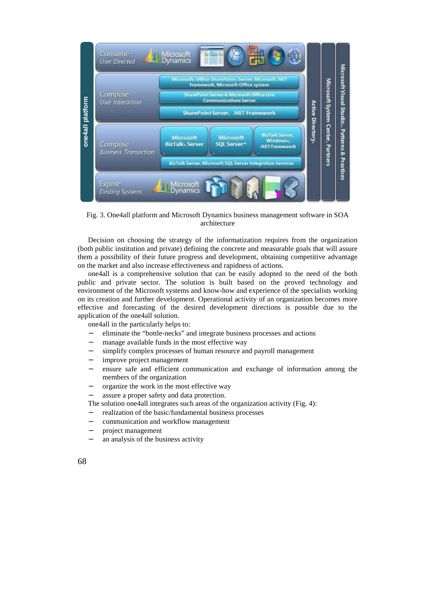

Fig. 3. One4all platform and Microsoft Dynamics business management software in SOA architecture

Decision on choosing the strategy of the informatization requires from the organization (both public institution and private) defining the concrete and measurable goals that will assure them a possibility of their future progress and development, obtaining competitive advantage on the market and also increase effectiveness and rapidness of actions.

one4all is a comprehensive solution that can be easily adopted to the need of the both public and private sector. The solution is built based on the proved technology and environment of the Microsoft systems and know-how and experience of the specialists working on its creation and further development. Operational activity of an organization becomes more effective and forecasting of the desired development directions is possible due to the application of the one4all solution.

one4all in the particularly helps to:

- − eliminate the "bottle-necks" and integrate business processes and actions
- − manage available funds in the most effective way
- − simplify complex processes of human resource and payroll management
- improve project management
- − ensure safe and efficient communication and exchange of information among the members of the organization
- − organize the work in the most effective way
- − assure a proper safety and data protection.
- The solution one4all integrates such areas of the organization activity (Fig. 4):
- − realization of the basic/fundamental business processes
- − communication and workflow management
- − project management
-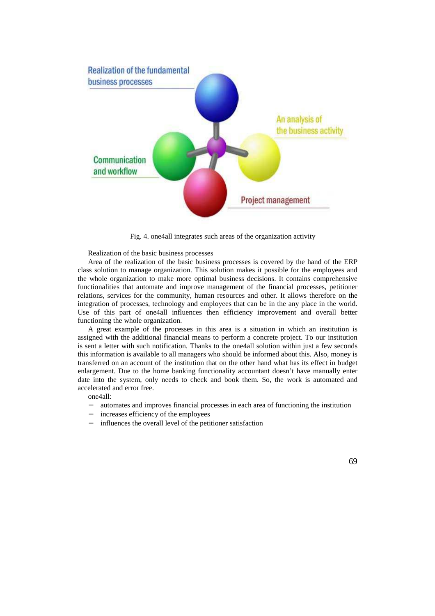

Fig. 4. one4all integrates such areas of the organization activity

Realization of the basic business processes

Area of the realization of the basic business processes is covered by the hand of the ERP class solution to manage organization. This solution makes it possible for the employees and the whole organization to make more optimal business decisions. It contains comprehensive functionalities that automate and improve management of the financial processes, petitioner relations, services for the community, human resources and other. It allows therefore on the integration of processes, technology and employees that can be in the any place in the world. Use of this part of one4all influences then efficiency improvement and overall better functioning the whole organization.

A great example of the processes in this area is a situation in which an institution is assigned with the additional financial means to perform a concrete project. To our institution is sent a letter with such notification. Thanks to the one4all solution within just a few seconds this information is available to all managers who should be informed about this. Also, money is transferred on an account of the institution that on the other hand what has its effect in budget enlargement. Due to the home banking functionality accountant doesn't have manually enter date into the system, only needs to check and book them. So, the work is automated and accelerated and error free.

one4all:

- − automates and improves financial processes in each area of functioning the institution
- increases efficiency of the employees
- influences the overall level of the petitioner satisfaction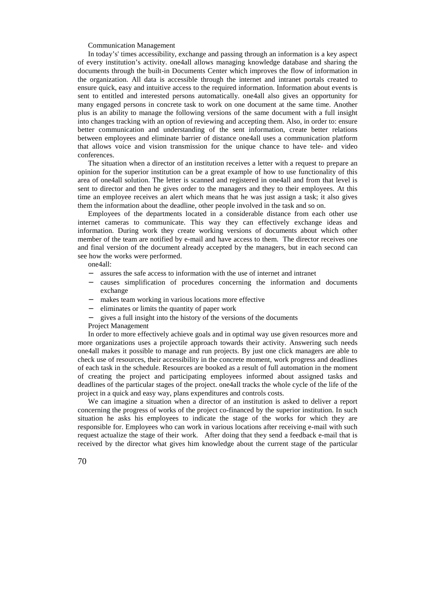#### Communication Management

In today's' times accessibility, exchange and passing through an information is a key aspect of every institution's activity. one4all allows managing knowledge database and sharing the documents through the built-in Documents Center which improves the flow of information in the organization. All data is accessible through the internet and intranet portals created to ensure quick, easy and intuitive access to the required information. Information about events is sent to entitled and interested persons automatically. one4all also gives an opportunity for many engaged persons in concrete task to work on one document at the same time. Another plus is an ability to manage the following versions of the same document with a full insight into changes tracking with an option of reviewing and accepting them. Also, in order to: ensure better communication and understanding of the sent information, create better relations between employees and eliminate barrier of distance one4all uses a communication platform that allows voice and vision transmission for the unique chance to have tele- and video conferences.

The situation when a director of an institution receives a letter with a request to prepare an opinion for the superior institution can be a great example of how to use functionality of this area of one4all solution. The letter is scanned and registered in one4all and from that level is sent to director and then he gives order to the managers and they to their employees. At this time an employee receives an alert which means that he was just assign a task; it also gives them the information about the deadline, other people involved in the task and so on.

Employees of the departments located in a considerable distance from each other use internet cameras to communicate. This way they can effectively exchange ideas and information. During work they create working versions of documents about which other member of the team are notified by e-mail and have access to them. The director receives one and final version of the document already accepted by the managers, but in each second can see how the works were performed.

one4all:

- assures the safe access to information with the use of internet and intranet
- − causes simplification of procedures concerning the information and documents exchange
- makes team working in various locations more effective
- eliminates or limits the quantity of paper work
- − gives a full insight into the history of the versions of the documents

Project Management

In order to more effectively achieve goals and in optimal way use given resources more and more organizations uses a projectile approach towards their activity. Answering such needs one4all makes it possible to manage and run projects. By just one click managers are able to check use of resources, their accessibility in the concrete moment, work progress and deadlines of each task in the schedule. Resources are booked as a result of full automation in the moment of creating the project and participating employees informed about assigned tasks and deadlines of the particular stages of the project. one4all tracks the whole cycle of the life of the project in a quick and easy way, plans expenditures and controls costs.

We can imagine a situation when a director of an institution is asked to deliver a report concerning the progress of works of the project co-financed by the superior institution. In such situation he asks his employees to indicate the stage of the works for which they are responsible for. Employees who can work in various locations after receiving e-mail with such request actualize the stage of their work. After doing that they send a feedback e-mail that is received by the director what gives him knowledge about the current stage of the particular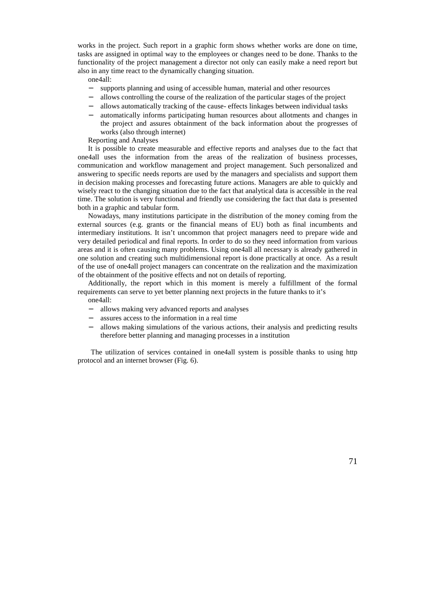works in the project. Such report in a graphic form shows whether works are done on time, tasks are assigned in optimal way to the employees or changes need to be done. Thanks to the functionality of the project management a director not only can easily make a need report but also in any time react to the dynamically changing situation.

one4all:

- supports planning and using of accessible human, material and other resources
- − allows controlling the course of the realization of the particular stages of the project
- − allows automatically tracking of the cause- effects linkages between individual tasks
- − automatically informs participating human resources about allotments and changes in the project and assures obtainment of the back information about the progresses of works (also through internet)

Reporting and Analyses

It is possible to create measurable and effective reports and analyses due to the fact that one4all uses the information from the areas of the realization of business processes, communication and workflow management and project management. Such personalized and answering to specific needs reports are used by the managers and specialists and support them in decision making processes and forecasting future actions. Managers are able to quickly and wisely react to the changing situation due to the fact that analytical data is accessible in the real time. The solution is very functional and friendly use considering the fact that data is presented both in a graphic and tabular form.

Nowadays, many institutions participate in the distribution of the money coming from the external sources (e.g. grants or the financial means of EU) both as final incumbents and intermediary institutions. It isn't uncommon that project managers need to prepare wide and very detailed periodical and final reports. In order to do so they need information from various areas and it is often causing many problems. Using one4all all necessary is already gathered in one solution and creating such multidimensional report is done practically at once. As a result of the use of one4all project managers can concentrate on the realization and the maximization of the obtainment of the positive effects and not on details of reporting.

Additionally, the report which in this moment is merely a fulfillment of the formal requirements can serve to yet better planning next projects in the future thanks to it's one4all:

- 
- − allows making very advanced reports and analyses
- − assures access to the information in a real time
- allows making simulations of the various actions, their analysis and predicting results therefore better planning and managing processes in a institution

The utilization of services contained in one4all system is possible thanks to using http protocol and an internet browser (Fig. 6).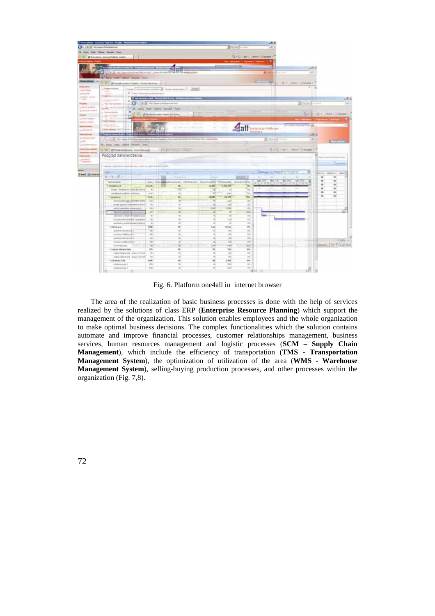

Fig. 6. Platform one4all in internet browser

The area of the realization of basic business processes is done with the help of services realized by the solutions of class ERP (**Enterprise Resource Planning**) which support the management of the organization. This solution enables employees and the whole organization to make optimal business decisions. The complex functionalities which the solution contains automate and improve financial processes, customer relationships management, business services, human resources management and logistic processes (**SCM – Supply Chain Management**), which include the efficiency of transportation (**TMS - Transportation Management System**), the optimization of utilization of the area (**WMS - Warehouse Management System**), selling-buying production processes, and other processes within the organization (Fig. 7,8).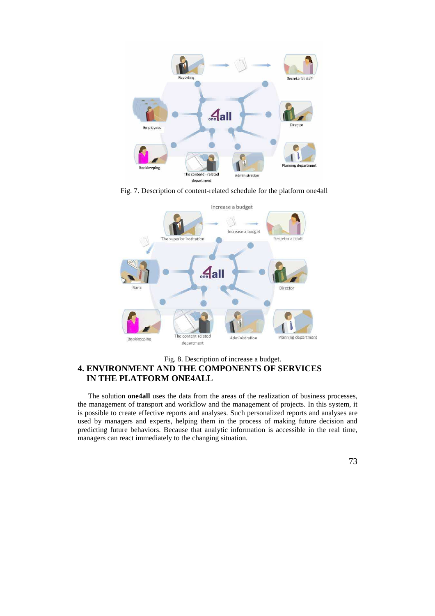

Fig. 7. Description of content-related schedule for the platform one4all



# Fig. 8. Description of increase a budget. **4. ENVIRONMENT AND THE COMPONENTS OF SERVICES IN THE PLATFORM ONE4ALL**

The solution **one4all** uses the data from the areas of the realization of business processes, the management of transport and workflow and the management of projects. In this system, it is possible to create effective reports and analyses. Such personalized reports and analyses are used by managers and experts, helping them in the process of making future decision and predicting future behaviors. Because that analytic information is accessible in the real time, managers can react immediately to the changing situation.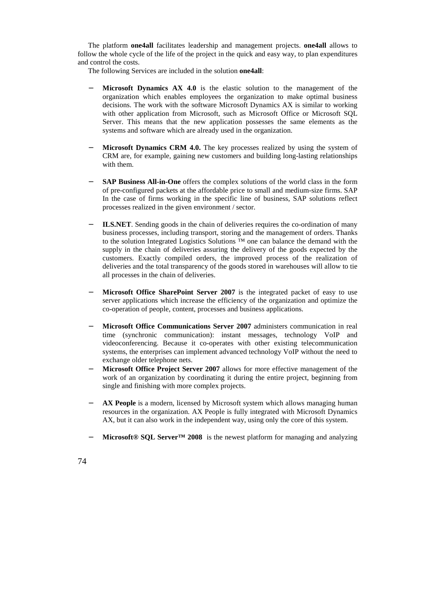The platform **one4all** facilitates leadership and management projects. **one4all** allows to follow the whole cycle of the life of the project in the quick and easy way, to plan expenditures and control the costs.

The following Services are included in the solution **one4all**:

- **Microsoft Dynamics AX 4.0** is the elastic solution to the management of the organization which enables employees the organization to make optimal business decisions. The work with the software Microsoft Dynamics AX is similar to working with other application from Microsoft, such as Microsoft Office or Microsoft SQL Server. This means that the new application possesses the same elements as the systems and software which are already used in the organization.
- **Microsoft Dynamics CRM 4.0.** The key processes realized by using the system of CRM are, for example, gaining new customers and building long-lasting relationships with them.
- SAP Business All-in-One offers the complex solutions of the world class in the form of pre-configured packets at the affordable price to small and medium-size firms. SAP In the case of firms working in the specific line of business, SAP solutions reflect processes realized in the given environment / sector.
- **ILS.NET**. Sending goods in the chain of deliveries requires the co-ordination of many business processes, including transport, storing and the management of orders. Thanks to the solution Integrated Logistics Solutions ™ one can balance the demand with the supply in the chain of deliveries assuring the delivery of the goods expected by the customers. Exactly compiled orders, the improved process of the realization of deliveries and the total transparency of the goods stored in warehouses will allow to tie all processes in the chain of deliveries.
- Microsoft Office SharePoint Server 2007 is the integrated packet of easy to use server applications which increase the efficiency of the organization and optimize the co-operation of people, content, processes and business applications.
- − **Microsoft Office Communications Server 2007** administers communication in real time (synchronic communication): instant messages, technology VoIP and videoconferencing. Because it co-operates with other existing telecommunication systems, the enterprises can implement advanced technology VoIP without the need to exchange older telephone nets.
- Microsoft Office Project Server 2007 allows for more effective management of the work of an organization by coordinating it during the entire project, beginning from single and finishing with more complex projects.
- **AX People** is a modern, licensed by Microsoft system which allows managing human resources in the organization. AX People is fully integrated with Microsoft Dynamics AX, but it can also work in the independent way, using only the core of this system.
- − **Microsoft® SQL Server™ 2008** is the newest platform for managing and analyzing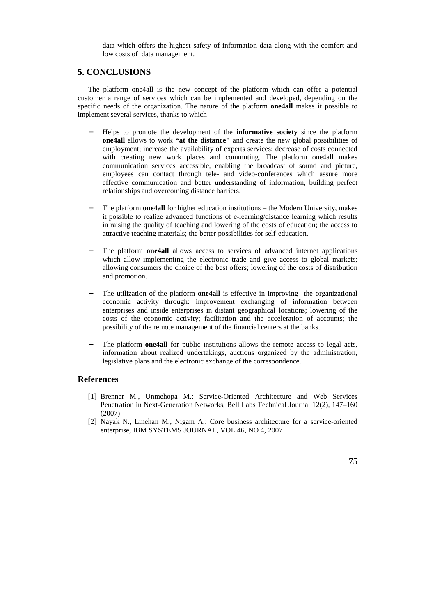data which offers the highest safety of information data along with the comfort and low costs of data management.

# **5. CONCLUSIONS**

The platform one4all is the new concept of the platform which can offer a potential customer a range of services which can be implemented and developed, depending on the specific needs of the organization. The nature of the platform **one4all** makes it possible to implement several services, thanks to which

- − Helps to promote the development of the **informative society** since the platform **one4all** allows to work **"at the distance"** and create the new global possibilities of employment; increase the availability of experts services; decrease of costs connected with creating new work places and commuting. The platform one4all makes communication services accessible, enabling the broadcast of sound and picture, employees can contact through tele- and video-conferences which assure more effective communication and better understanding of information, building perfect relationships and overcoming distance barriers.
- The platform **one4all** for higher education institutions the Modern University, makes it possible to realize advanced functions of e-learning/distance learning which results in raising the quality of teaching and lowering of the costs of education; the access to attractive teaching materials; the better possibilities for self-education.
- The platform **one4all** allows access to services of advanced internet applications which allow implementing the electronic trade and give access to global markets; allowing consumers the choice of the best offers; lowering of the costs of distribution and promotion.
- The utilization of the platform **one4all** is effective in improving the organizational economic activity through: improvement exchanging of information between enterprises and inside enterprises in distant geographical locations; lowering of the costs of the economic activity; facilitation and the acceleration of accounts; the possibility of the remote management of the financial centers at the banks.
- The platform **one4all** for public institutions allows the remote access to legal acts, information about realized undertakings, auctions organized by the administration, legislative plans and the electronic exchange of the correspondence.

### **References**

- [1] Brenner M., Unmehopa M.: Service-Oriented Architecture and Web Services Penetration in Next-Generation Networks, Bell Labs Technical Journal 12(2), 147–160 (2007)
- [2] Nayak N., Linehan M., Nigam A.: Core business architecture for a service-oriented enterprise, IBM SYSTEMS JOURNAL, VOL 46, NO 4, 2007